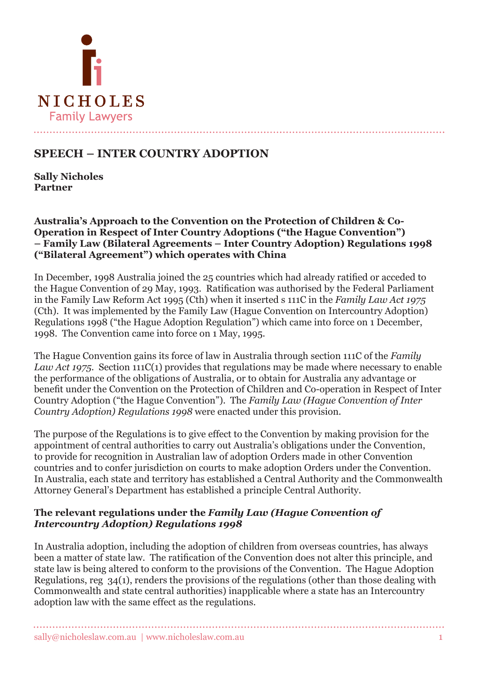

# **SPEECH – INTER COUNTRY ADOPTION**

**Sally Nicholes Partner**

**Australia's Approach to the Convention on the Protection of Children & Co-Operation in Respect of Inter Country Adoptions ("the Hague Convention") – Family Law (Bilateral Agreements – Inter Country Adoption) Regulations 1998 ("Bilateral Agreement") which operates with China**

In December, 1998 Australia joined the 25 countries which had already ratified or acceded to the Hague Convention of 29 May, 1993. Ratification was authorised by the Federal Parliament in the Family Law Reform Act 1995 (Cth) when it inserted s 111C in the *Family Law Act 1975*  (Cth). It was implemented by the Family Law (Hague Convention on Intercountry Adoption) Regulations 1998 ("the Hague Adoption Regulation") which came into force on 1 December, 1998. The Convention came into force on 1 May, 1995.

The Hague Convention gains its force of law in Australia through section 111C of the *Family Law Act 1975*. Section 111C(1) provides that regulations may be made where necessary to enable the performance of the obligations of Australia, or to obtain for Australia any advantage or benefit under the Convention on the Protection of Children and Co-operation in Respect of Inter Country Adoption ("the Hague Convention"). The *Family Law (Hague Convention of Inter Country Adoption) Regulations 1998* were enacted under this provision.

The purpose of the Regulations is to give effect to the Convention by making provision for the appointment of central authorities to carry out Australia's obligations under the Convention, to provide for recognition in Australian law of adoption Orders made in other Convention countries and to confer jurisdiction on courts to make adoption Orders under the Convention. In Australia, each state and territory has established a Central Authority and the Commonwealth Attorney General's Department has established a principle Central Authority.

#### **The relevant regulations under the** *Family Law (Hague Convention of Intercountry Adoption) Regulations 1998*

In Australia adoption, including the adoption of children from overseas countries, has always been a matter of state law. The ratification of the Convention does not alter this principle, and state law is being altered to conform to the provisions of the Convention. The Hague Adoption Regulations, reg 34(1), renders the provisions of the regulations (other than those dealing with Commonwealth and state central authorities) inapplicable where a state has an Intercountry adoption law with the same effect as the regulations.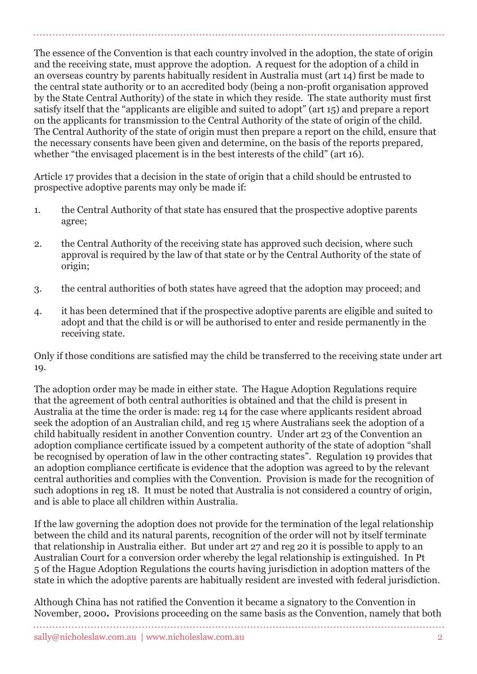The essence of the Convention is that each country involved in the adoption, the state of origin and the receiving state, must approve the adoption. A request for the adoption of a child in an overseas country by parents habitually resident in Australia must (art 14) first be made to the central state authority or to an accredited body (being a non-profit organisation approved by the State Central Authority) of the state in which they reside. The state authority must first satisfy itself that the "applicants are eligible and suited to adopt" (art 15) and prepare a report on the applicants for transmission to the Central Authority of the state of origin of the child. The Central Authority of the state of origin must then prepare a report on the child, ensure that the necessary consents have been given and determine, on the basis of the reports prepared, whether "the envisaged placement is in the best interests of the child" (art 16).

Article 17 provides that a decision in the state of origin that a child should be entrusted to prospective adoptive parents may only be made if:

- 1. the Central Authority of that state has ensured that the prospective adoptive parents agree;
- 2. the Central Authority of the receiving state has approved such decision, where such approval is required by the law of that state or by the Central Authority of the state of origin;
- 3. the central authorities of both states have agreed that the adoption may proceed; and
- 4. it has been determined that if the prospective adoptive parents are eligible and suited to adopt and that the child is or will be authorised to enter and reside permanently in the receiving state.

Only if those conditions are satisfied may the child be transferred to the receiving state under art 19.

The adoption order may be made in either state. The Hague Adoption Regulations require that the agreement of both central authorities is obtained and that the child is present in Australia at the time the order is made: reg 14 for the case where applicants resident abroad seek the adoption of an Australian child, and reg 15 where Australians seek the adoption of a child habitually resident in another Convention country. Under art 23 of the Convention an adoption compliance certificate issued by a competent authority of the state of adoption "shall be recognised by operation of law in the other contracting states". Regulation 19 provides that an adoption compliance certificate is evidence that the adoption was agreed to by the relevant central authorities and complies with the Convention. Provision is made for the recognition of such adoptions in reg 18. It must be noted that Australia is not considered a country of origin, and is able to place all children within Australia.

If the law governing the adoption does not provide for the termination of the legal relationship between the child and its natural parents, recognition of the order will not by itself terminate that relationship in Australia either. But under art 27 and reg 20 it is possible to apply to an Australian Court for a conversion order whereby the legal relationship is extinguished. In Pt 5 of the Hague Adoption Regulations the courts having jurisdiction in adoption matters of the state in which the adoptive parents are habitually resident are invested with federal jurisdiction.

Although China has not ratified the Convention it became a signatory to the Convention in November, 2000*.* Provisions proceeding on the same basis as the Convention, namely that both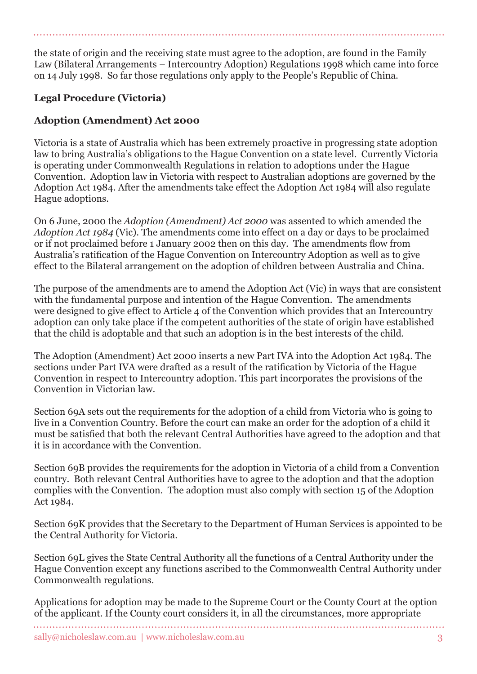the state of origin and the receiving state must agree to the adoption, are found in the Family Law (Bilateral Arrangements – Intercountry Adoption) Regulations 1998 which came into force on 14 July 1998. So far those regulations only apply to the People's Republic of China.

## **Legal Procedure (Victoria)**

## **Adoption (Amendment) Act 2000**

Victoria is a state of Australia which has been extremely proactive in progressing state adoption law to bring Australia's obligations to the Hague Convention on a state level. Currently Victoria is operating under Commonwealth Regulations in relation to adoptions under the Hague Convention. Adoption law in Victoria with respect to Australian adoptions are governed by the Adoption Act 1984. After the amendments take effect the Adoption Act 1984 will also regulate Hague adoptions.

On 6 June, 2000 the *Adoption (Amendment) Act 2000* was assented to which amended the *Adoption Act 1984* (Vic). The amendments come into effect on a day or days to be proclaimed or if not proclaimed before 1 January 2002 then on this day. The amendments flow from Australia's ratification of the Hague Convention on Intercountry Adoption as well as to give effect to the Bilateral arrangement on the adoption of children between Australia and China.

The purpose of the amendments are to amend the Adoption Act (Vic) in ways that are consistent with the fundamental purpose and intention of the Hague Convention. The amendments were designed to give effect to Article 4 of the Convention which provides that an Intercountry adoption can only take place if the competent authorities of the state of origin have established that the child is adoptable and that such an adoption is in the best interests of the child.

The Adoption (Amendment) Act 2000 inserts a new Part IVA into the Adoption Act 1984. The sections under Part IVA were drafted as a result of the ratification by Victoria of the Hague Convention in respect to Intercountry adoption. This part incorporates the provisions of the Convention in Victorian law.

Section 69A sets out the requirements for the adoption of a child from Victoria who is going to live in a Convention Country. Before the court can make an order for the adoption of a child it must be satisfied that both the relevant Central Authorities have agreed to the adoption and that it is in accordance with the Convention.

Section 69B provides the requirements for the adoption in Victoria of a child from a Convention country. Both relevant Central Authorities have to agree to the adoption and that the adoption complies with the Convention. The adoption must also comply with section 15 of the Adoption Act 1984.

Section 69K provides that the Secretary to the Department of Human Services is appointed to be the Central Authority for Victoria.

Section 69L gives the State Central Authority all the functions of a Central Authority under the Hague Convention except any functions ascribed to the Commonwealth Central Authority under Commonwealth regulations.

Applications for adoption may be made to the Supreme Court or the County Court at the option of the applicant. If the County court considers it, in all the circumstances, more appropriate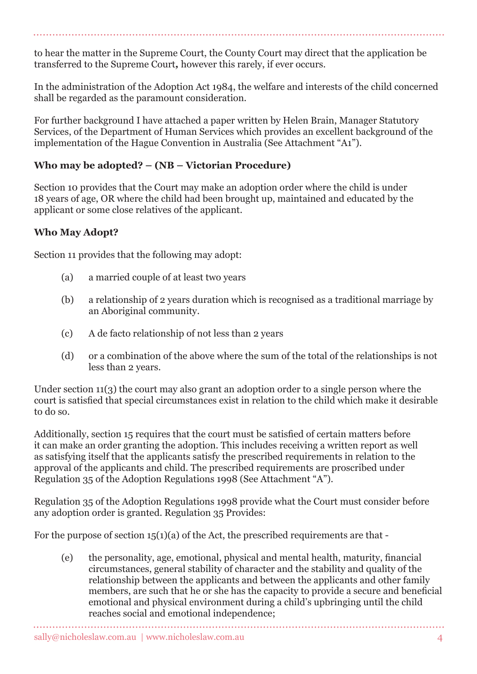to hear the matter in the Supreme Court, the County Court may direct that the application be transferred to the Supreme Court*,* however this rarely, if ever occurs.

In the administration of the Adoption Act 1984, the welfare and interests of the child concerned shall be regarded as the paramount consideration.

For further background I have attached a paper written by Helen Brain, Manager Statutory Services, of the Department of Human Services which provides an excellent background of the implementation of the Hague Convention in Australia (See Attachment "A1").

### **Who may be adopted? – (NB – Victorian Procedure)**

Section 10 provides that the Court may make an adoption order where the child is under 18 years of age, OR where the child had been brought up, maintained and educated by the applicant or some close relatives of the applicant.

### **Who May Adopt?**

Section 11 provides that the following may adopt:

- (a) a married couple of at least two years
- (b) a relationship of 2 years duration which is recognised as a traditional marriage by an Aboriginal community.
- (c) A de facto relationship of not less than 2 years
- (d) or a combination of the above where the sum of the total of the relationships is not less than 2 years.

Under section 11(3) the court may also grant an adoption order to a single person where the court is satisfied that special circumstances exist in relation to the child which make it desirable to do so.

Additionally, section 15 requires that the court must be satisfied of certain matters before it can make an order granting the adoption. This includes receiving a written report as well as satisfying itself that the applicants satisfy the prescribed requirements in relation to the approval of the applicants and child. The prescribed requirements are proscribed under Regulation 35 of the Adoption Regulations 1998 (See Attachment "A").

Regulation 35 of the Adoption Regulations 1998 provide what the Court must consider before any adoption order is granted. Regulation 35 Provides:

For the purpose of section 15(1)(a) of the Act, the prescribed requirements are that -

(e) the personality, age, emotional, physical and mental health, maturity, financial circumstances, general stability of character and the stability and quality of the relationship between the applicants and between the applicants and other family members, are such that he or she has the capacity to provide a secure and beneficial emotional and physical environment during a child's upbringing until the child reaches social and emotional independence;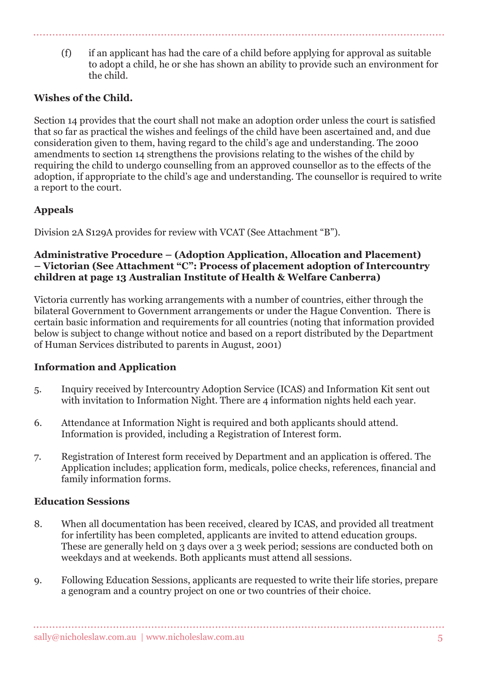(f) if an applicant has had the care of a child before applying for approval as suitable to adopt a child, he or she has shown an ability to provide such an environment for the child.

## **Wishes of the Child.**

Section 14 provides that the court shall not make an adoption order unless the court is satisfied that so far as practical the wishes and feelings of the child have been ascertained and, and due consideration given to them, having regard to the child's age and understanding. The 2000 amendments to section 14 strengthens the provisions relating to the wishes of the child by requiring the child to undergo counselling from an approved counsellor as to the effects of the adoption, if appropriate to the child's age and understanding. The counsellor is required to write a report to the court.

## **Appeals**

Division 2A S129A provides for review with VCAT (See Attachment "B").

#### **Administrative Procedure – (Adoption Application, Allocation and Placement) – Victorian (See Attachment "C": Process of placement adoption of Intercountry children at page 13 Australian Institute of Health & Welfare Canberra)**

Victoria currently has working arrangements with a number of countries, either through the bilateral Government to Government arrangements or under the Hague Convention. There is certain basic information and requirements for all countries (noting that information provided below is subject to change without notice and based on a report distributed by the Department of Human Services distributed to parents in August, 2001)

## **Information and Application**

- 5. Inquiry received by Intercountry Adoption Service (ICAS) and Information Kit sent out with invitation to Information Night. There are 4 information nights held each year.
- 6. Attendance at Information Night is required and both applicants should attend. Information is provided, including a Registration of Interest form.
- 7. Registration of Interest form received by Department and an application is offered. The Application includes; application form, medicals, police checks, references, financial and family information forms.

### **Education Sessions**

- 8. When all documentation has been received, cleared by ICAS, and provided all treatment for infertility has been completed, applicants are invited to attend education groups. These are generally held on 3 days over a 3 week period; sessions are conducted both on weekdays and at weekends. Both applicants must attend all sessions.
- 9. Following Education Sessions, applicants are requested to write their life stories, prepare a genogram and a country project on one or two countries of their choice.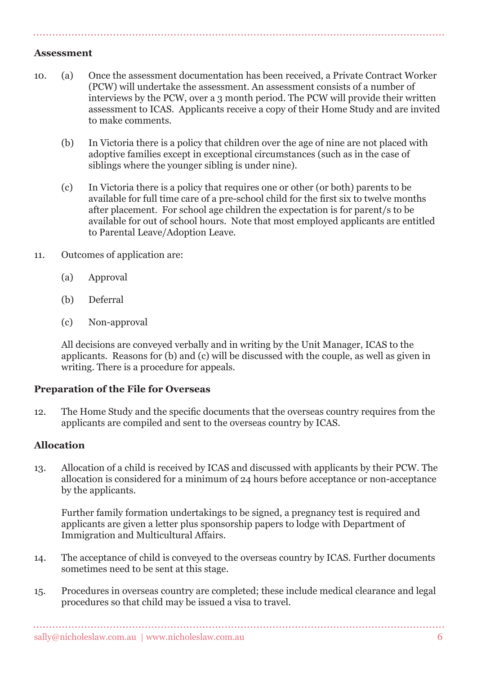#### **Assessment**

- 10. (a) Once the assessment documentation has been received, a Private Contract Worker (PCW) will undertake the assessment. An assessment consists of a number of interviews by the PCW, over a 3 month period. The PCW will provide their written assessment to ICAS. Applicants receive a copy of their Home Study and are invited to make comments.
	- (b) In Victoria there is a policy that children over the age of nine are not placed with adoptive families except in exceptional circumstances (such as in the case of siblings where the younger sibling is under nine).
	- (c) In Victoria there is a policy that requires one or other (or both) parents to be available for full time care of a pre-school child for the first six to twelve months after placement. For school age children the expectation is for parent/s to be available for out of school hours. Note that most employed applicants are entitled to Parental Leave/Adoption Leave.
- 11. Outcomes of application are:
	- (a) Approval
	- (b) Deferral
	- (c) Non-approval

All decisions are conveyed verbally and in writing by the Unit Manager, ICAS to the applicants. Reasons for (b) and (c) will be discussed with the couple, as well as given in writing. There is a procedure for appeals.

### **Preparation of the File for Overseas**

12. The Home Study and the specific documents that the overseas country requires from the applicants are compiled and sent to the overseas country by ICAS.

## **Allocation**

13. Allocation of a child is received by ICAS and discussed with applicants by their PCW. The allocation is considered for a minimum of 24 hours before acceptance or non-acceptance by the applicants.

Further family formation undertakings to be signed, a pregnancy test is required and applicants are given a letter plus sponsorship papers to lodge with Department of Immigration and Multicultural Affairs.

- 14. The acceptance of child is conveyed to the overseas country by ICAS. Further documents sometimes need to be sent at this stage.
- 15. Procedures in overseas country are completed; these include medical clearance and legal procedures so that child may be issued a visa to travel.

. . . . . . . . . .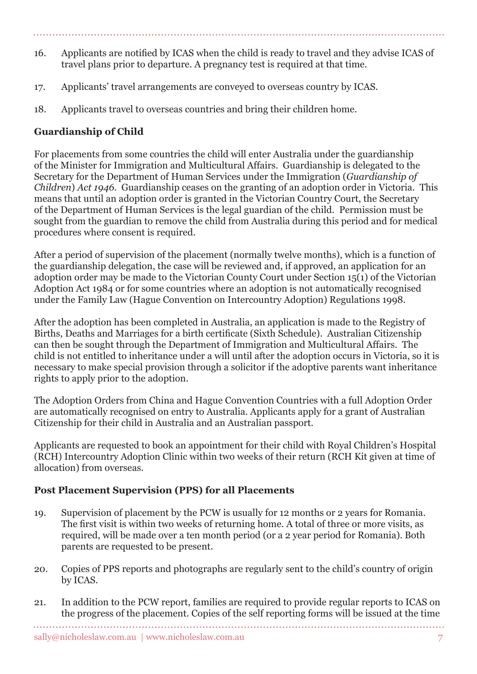- 16. Applicants are notified by ICAS when the child is ready to travel and they advise ICAS of travel plans prior to departure. A pregnancy test is required at that time.
- 17. Applicants' travel arrangements are conveyed to overseas country by ICAS.
- 18. Applicants travel to overseas countries and bring their children home.

# **Guardianship of Child**

For placements from some countries the child will enter Australia under the guardianship of the Minister for Immigration and Multicultural Affairs. Guardianship is delegated to the Secretary for the Department of Human Services under the Immigration (*Guardianship of Children*) *Act 1946.* Guardianship ceases on the granting of an adoption order in Victoria. This means that until an adoption order is granted in the Victorian Country Court, the Secretary of the Department of Human Services is the legal guardian of the child. Permission must be sought from the guardian to remove the child from Australia during this period and for medical procedures where consent is required.

After a period of supervision of the placement (normally twelve months), which is a function of the guardianship delegation, the case will be reviewed and, if approved, an application for an adoption order may be made to the Victorian County Court under Section 15(1) of the Victorian Adoption Act 1984 or for some countries where an adoption is not automatically recognised under the Family Law (Hague Convention on Intercountry Adoption) Regulations 1998.

After the adoption has been completed in Australia, an application is made to the Registry of Births, Deaths and Marriages for a birth certificate (Sixth Schedule). Australian Citizenship can then be sought through the Department of Immigration and Multicultural Affairs. The child is not entitled to inheritance under a will until after the adoption occurs in Victoria, so it is necessary to make special provision through a solicitor if the adoptive parents want inheritance rights to apply prior to the adoption.

The Adoption Orders from China and Hague Convention Countries with a full Adoption Order are automatically recognised on entry to Australia. Applicants apply for a grant of Australian Citizenship for their child in Australia and an Australian passport.

Applicants are requested to book an appointment for their child with Royal Children's Hospital (RCH) Intercountry Adoption Clinic within two weeks of their return (RCH Kit given at time of allocation) from overseas.

### **Post Placement Supervision (PPS) for all Placements**

- 19. Supervision of placement by the PCW is usually for 12 months or 2 years for Romania. The first visit is within two weeks of returning home. A total of three or more visits, as required, will be made over a ten month period (or a 2 year period for Romania). Both parents are requested to be present.
- 20. Copies of PPS reports and photographs are regularly sent to the child's country of origin by ICAS.
- 21. In addition to the PCW report, families are required to provide regular reports to ICAS on the progress of the placement. Copies of the self reporting forms will be issued at the time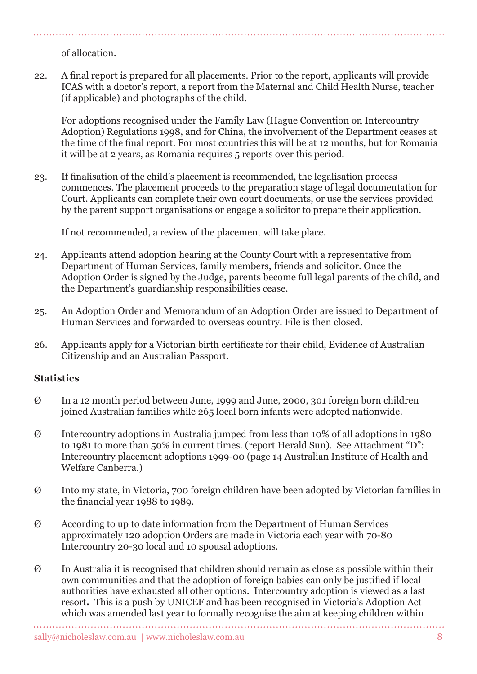of allocation.

22. A final report is prepared for all placements. Prior to the report, applicants will provide ICAS with a doctor's report, a report from the Maternal and Child Health Nurse, teacher (if applicable) and photographs of the child.

For adoptions recognised under the Family Law (Hague Convention on Intercountry Adoption) Regulations 1998, and for China, the involvement of the Department ceases at the time of the final report. For most countries this will be at 12 months, but for Romania it will be at 2 years, as Romania requires 5 reports over this period.

23. If finalisation of the child's placement is recommended, the legalisation process commences. The placement proceeds to the preparation stage of legal documentation for Court. Applicants can complete their own court documents, or use the services provided by the parent support organisations or engage a solicitor to prepare their application.

If not recommended, a review of the placement will take place.

- 24. Applicants attend adoption hearing at the County Court with a representative from Department of Human Services, family members, friends and solicitor. Once the Adoption Order is signed by the Judge, parents become full legal parents of the child, and the Department's guardianship responsibilities cease.
- 25. An Adoption Order and Memorandum of an Adoption Order are issued to Department of Human Services and forwarded to overseas country. File is then closed.
- 26. Applicants apply for a Victorian birth certificate for their child, Evidence of Australian Citizenship and an Australian Passport.

### **Statistics**

- Ø In a 12 month period between June, 1999 and June, 2000, 301 foreign born children joined Australian families while 265 local born infants were adopted nationwide.
- Ø Intercountry adoptions in Australia jumped from less than 10% of all adoptions in 1980 to 1981 to more than 50% in current times. (report Herald Sun). See Attachment "D": Intercountry placement adoptions 1999-00 (page 14 Australian Institute of Health and Welfare Canberra.)
- Ø Into my state, in Victoria, 700 foreign children have been adopted by Victorian families in the financial year 1988 to 1989.
- Ø According to up to date information from the Department of Human Services approximately 120 adoption Orders are made in Victoria each year with 70-80 Intercountry 20-30 local and 10 spousal adoptions.
- $\emptyset$  In Australia it is recognised that children should remain as close as possible within their own communities and that the adoption of foreign babies can only be justified if local authorities have exhausted all other options. Intercountry adoption is viewed as a last resort*.* This is a push by UNICEF and has been recognised in Victoria's Adoption Act which was amended last year to formally recognise the aim at keeping children within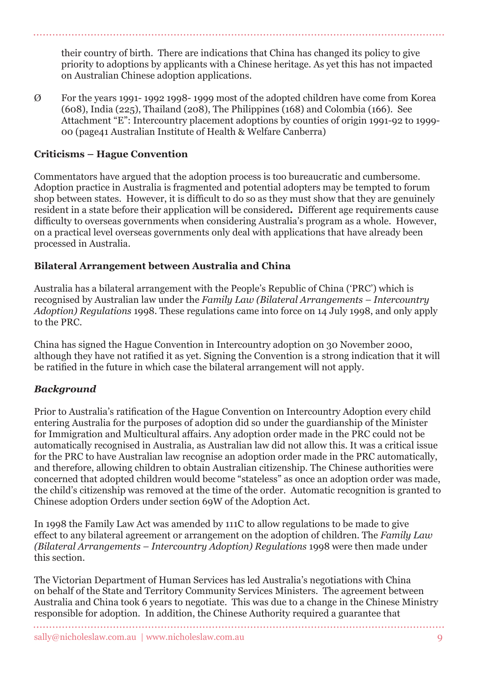their country of birth. There are indications that China has changed its policy to give priority to adoptions by applicants with a Chinese heritage. As yet this has not impacted on Australian Chinese adoption applications.

Ø For the years 1991- 1992 1998- 1999 most of the adopted children have come from Korea (608), India (225), Thailand (208), The Philippines (168) and Colombia (166). See Attachment "E": Intercountry placement adoptions by counties of origin 1991-92 to 1999- 00 (page41 Australian Institute of Health & Welfare Canberra)

### **Criticisms – Hague Convention**

Commentators have argued that the adoption process is too bureaucratic and cumbersome. Adoption practice in Australia is fragmented and potential adopters may be tempted to forum shop between states. However, it is difficult to do so as they must show that they are genuinely resident in a state before their application will be considered*.* Different age requirements cause difficulty to overseas governments when considering Australia's program as a whole. However, on a practical level overseas governments only deal with applications that have already been processed in Australia.

### **Bilateral Arrangement between Australia and China**

Australia has a bilateral arrangement with the People's Republic of China ('PRC') which is recognised by Australian law under the *Family Law (Bilateral Arrangements – Intercountry Adoption) Regulations* 1998. These regulations came into force on 14 July 1998, and only apply to the PRC.

China has signed the Hague Convention in Intercountry adoption on 30 November 2000, although they have not ratified it as yet. Signing the Convention is a strong indication that it will be ratified in the future in which case the bilateral arrangement will not apply.

### *Background*

Prior to Australia's ratification of the Hague Convention on Intercountry Adoption every child entering Australia for the purposes of adoption did so under the guardianship of the Minister for Immigration and Multicultural affairs. Any adoption order made in the PRC could not be automatically recognised in Australia, as Australian law did not allow this. It was a critical issue for the PRC to have Australian law recognise an adoption order made in the PRC automatically, and therefore, allowing children to obtain Australian citizenship. The Chinese authorities were concerned that adopted children would become "stateless" as once an adoption order was made, the child's citizenship was removed at the time of the order. Automatic recognition is granted to Chinese adoption Orders under section 69W of the Adoption Act.

In 1998 the Family Law Act was amended by 111C to allow regulations to be made to give effect to any bilateral agreement or arrangement on the adoption of children. The *Family Law (Bilateral Arrangements – Intercountry Adoption) Regulations* 1998 were then made under this section.

The Victorian Department of Human Services has led Australia's negotiations with China on behalf of the State and Territory Community Services Ministers. The agreement between Australia and China took 6 years to negotiate. This was due to a change in the Chinese Ministry responsible for adoption. In addition, the Chinese Authority required a guarantee that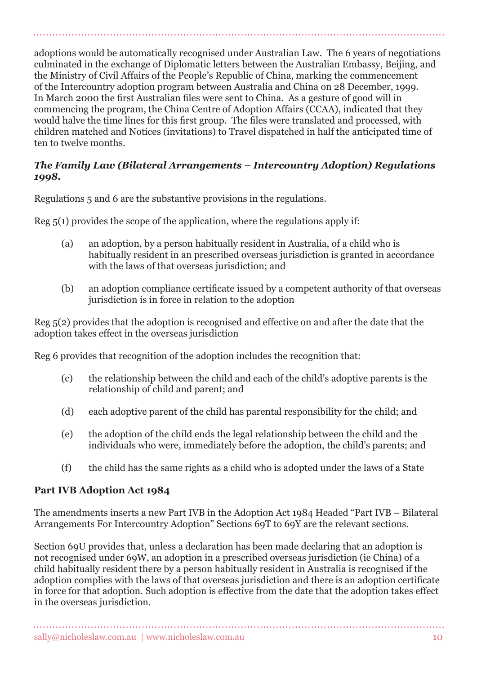adoptions would be automatically recognised under Australian Law. The 6 years of negotiations culminated in the exchange of Diplomatic letters between the Australian Embassy, Beijing, and the Ministry of Civil Affairs of the People's Republic of China, marking the commencement of the Intercountry adoption program between Australia and China on 28 December, 1999. In March 2000 the first Australian files were sent to China. As a gesture of good will in commencing the program, the China Centre of Adoption Affairs (CCAA), indicated that they would halve the time lines for this first group. The files were translated and processed, with children matched and Notices (invitations) to Travel dispatched in half the anticipated time of ten to twelve months.

#### *The Family Law (Bilateral Arrangements – Intercountry Adoption) Regulations 1998.*

Regulations 5 and 6 are the substantive provisions in the regulations.

Reg 5(1) provides the scope of the application, where the regulations apply if:

- (a) an adoption, by a person habitually resident in Australia, of a child who is habitually resident in an prescribed overseas jurisdiction is granted in accordance with the laws of that overseas jurisdiction; and
- (b) an adoption compliance certificate issued by a competent authority of that overseas jurisdiction is in force in relation to the adoption

Reg 5(2) provides that the adoption is recognised and effective on and after the date that the adoption takes effect in the overseas jurisdiction

Reg 6 provides that recognition of the adoption includes the recognition that:

- (c) the relationship between the child and each of the child's adoptive parents is the relationship of child and parent; and
- (d) each adoptive parent of the child has parental responsibility for the child; and
- (e) the adoption of the child ends the legal relationship between the child and the individuals who were, immediately before the adoption, the child's parents; and
- (f) the child has the same rights as a child who is adopted under the laws of a State

### **Part IVB Adoption Act 1984**

The amendments inserts a new Part IVB in the Adoption Act 1984 Headed "Part IVB – Bilateral Arrangements For Intercountry Adoption" Sections 69T to 69Y are the relevant sections.

Section 69U provides that, unless a declaration has been made declaring that an adoption is not recognised under 69W, an adoption in a prescribed overseas jurisdiction (ie China) of a child habitually resident there by a person habitually resident in Australia is recognised if the adoption complies with the laws of that overseas jurisdiction and there is an adoption certificate in force for that adoption. Such adoption is effective from the date that the adoption takes effect in the overseas jurisdiction.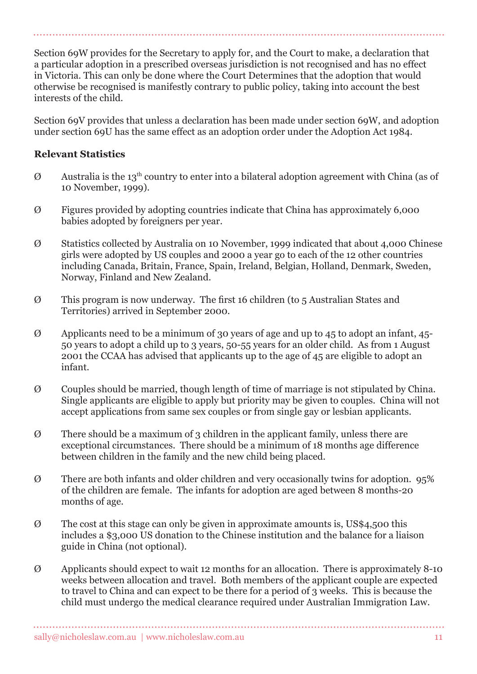Section 69W provides for the Secretary to apply for, and the Court to make, a declaration that a particular adoption in a prescribed overseas jurisdiction is not recognised and has no effect in Victoria. This can only be done where the Court Determines that the adoption that would otherwise be recognised is manifestly contrary to public policy, taking into account the best interests of the child.

Section 69V provides that unless a declaration has been made under section 69W, and adoption under section 69U has the same effect as an adoption order under the Adoption Act 1984.

#### **Relevant Statistics**

- $\varnothing$  Australia is the 13<sup>th</sup> country to enter into a bilateral adoption agreement with China (as of 10 November, 1999).
- Ø Figures provided by adopting countries indicate that China has approximately 6,000 babies adopted by foreigners per year.
- Ø Statistics collected by Australia on 10 November, 1999 indicated that about 4,000 Chinese girls were adopted by US couples and 2000 a year go to each of the 12 other countries including Canada, Britain, France, Spain, Ireland, Belgian, Holland, Denmark, Sweden, Norway, Finland and New Zealand.
- Ø This program is now underway. The first 16 children (to 5 Australian States and Territories) arrived in September 2000.
- Ø Applicants need to be a minimum of 30 years of age and up to 45 to adopt an infant, 45- 50 years to adopt a child up to 3 years, 50-55 years for an older child. As from 1 August 2001 the CCAA has advised that applicants up to the age of 45 are eligible to adopt an infant.
- Ø Couples should be married, though length of time of marriage is not stipulated by China. Single applicants are eligible to apply but priority may be given to couples. China will not accept applications from same sex couples or from single gay or lesbian applicants.
- Ø There should be a maximum of 3 children in the applicant family, unless there are exceptional circumstances. There should be a minimum of 18 months age difference between children in the family and the new child being placed.
- Ø There are both infants and older children and very occasionally twins for adoption. 95% of the children are female. The infants for adoption are aged between 8 months-20 months of age.
- Ø The cost at this stage can only be given in approximate amounts is, US\$4,500 this includes a \$3,000 US donation to the Chinese institution and the balance for a liaison guide in China (not optional).
- Ø Applicants should expect to wait 12 months for an allocation. There is approximately 8-10 weeks between allocation and travel. Both members of the applicant couple are expected to travel to China and can expect to be there for a period of 3 weeks. This is because the child must undergo the medical clearance required under Australian Immigration Law.

. . . . . . . . . . . . .